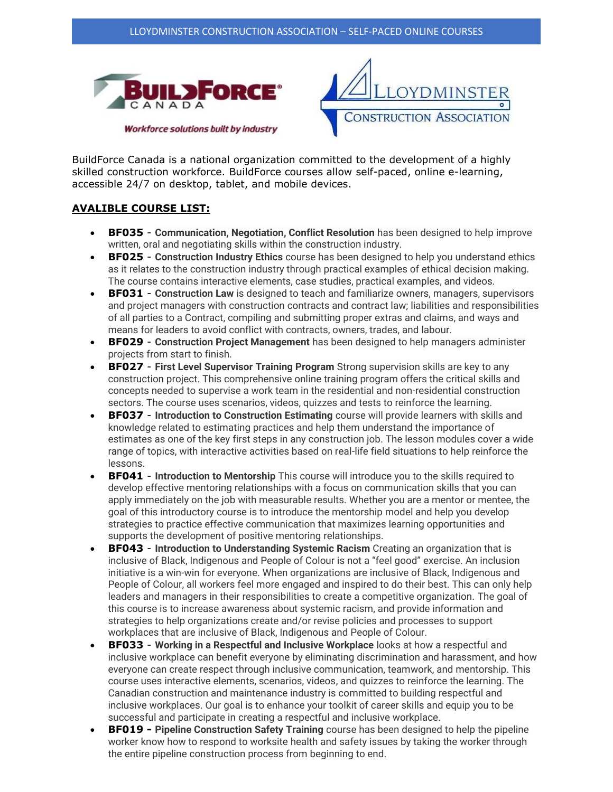



BuildForce Canada is a national organization committed to the development of a highly skilled construction workforce. BuildForce courses allow self-paced, online e-learning, accessible 24/7 on desktop, tablet, and mobile devices.

## **AVALIBLE COURSE LIST:**

- **BF035 Communication, Negotiation, Conflict Resolution** has been designed to help improve written, oral and negotiating skills within the construction industry.
- **BF025 Construction Industry Ethics** course has been designed to help you understand ethics as it relates to the construction industry through practical examples of ethical decision making. The course contains interactive elements, case studies, practical examples, and videos.
- **BF031 Construction Law** is designed to teach and familiarize owners, managers, supervisors and project managers with construction contracts and contract law; liabilities and responsibilities of all parties to a Contract, compiling and submitting proper extras and claims, and ways and means for leaders to avoid conflict with contracts, owners, trades, and labour.
- **BF029 Construction Project Management** has been designed to help managers administer projects from start to finish.
- **BF027 First Level Supervisor Training Program** Strong supervision skills are key to any construction project. This comprehensive online training program offers the critical skills and concepts needed to supervise a work team in the residential and non-residential construction sectors. The course uses scenarios, videos, quizzes and tests to reinforce the learning.
- **BF037** Introduction to Construction Estimating course will provide learners with skills and knowledge related to estimating practices and help them understand the importance of estimates as one of the key first steps in any construction job. The lesson modules cover a wide range of topics, with interactive activities based on real-life field situations to help reinforce the lessons.
- **BF041 Introduction to Mentorship** This course will introduce you to the skills required to develop effective mentoring relationships with a focus on communication skills that you can apply immediately on the job with measurable results. Whether you are a mentor or mentee, the goal of this introductory course is to introduce the mentorship model and help you develop strategies to practice effective communication that maximizes learning opportunities and supports the development of positive mentoring relationships.
- **BF043** Introduction to Understanding Systemic Racism Creating an organization that is inclusive of Black, Indigenous and People of Colour is not a "feel good" exercise. An inclusion initiative is a win-win for everyone. When organizations are inclusive of Black, Indigenous and People of Colour, all workers feel more engaged and inspired to do their best. This can only help leaders and managers in their responsibilities to create a competitive organization. The goal of this course is to increase awareness about systemic racism, and provide information and strategies to help organizations create and/or revise policies and processes to support workplaces that are inclusive of Black, Indigenous and People of Colour.
- **BF033 Working in a Respectful and Inclusive Workplace** looks at how a respectful and inclusive workplace can benefit everyone by eliminating discrimination and harassment, and how everyone can create respect through inclusive communication, teamwork, and mentorship. This course uses interactive elements, scenarios, videos, and quizzes to reinforce the learning. The Canadian construction and maintenance industry is committed to building respectful and inclusive workplaces. Our goal is to enhance your toolkit of career skills and equip you to be successful and participate in creating a respectful and inclusive workplace.
- **BF019 - Pipeline Construction Safety Training** course has been designed to help the pipeline worker know how to respond to worksite health and safety issues by taking the worker through the entire pipeline construction process from beginning to end.